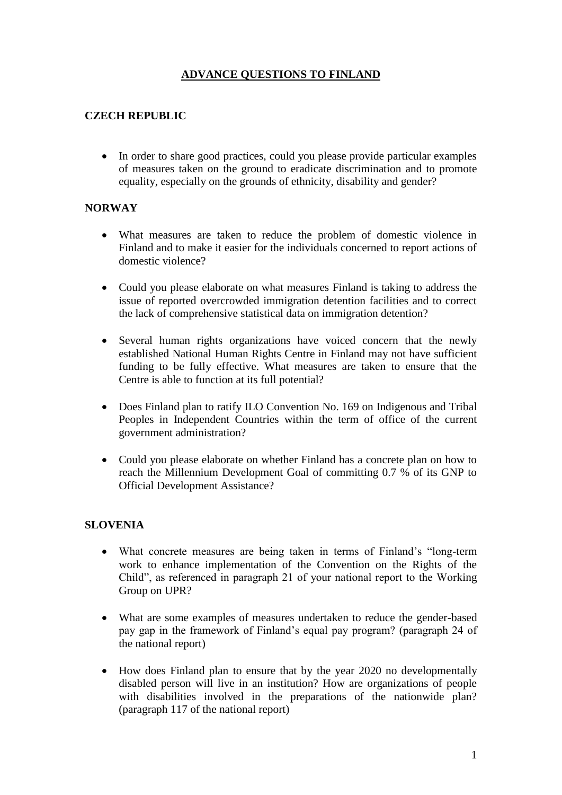## **ADVANCE QUESTIONS TO FINLAND**

### **CZECH REPUBLIC**

 In order to share good practices, could you please provide particular examples of measures taken on the ground to eradicate discrimination and to promote equality, especially on the grounds of ethnicity, disability and gender?

#### **NORWAY**

- What measures are taken to reduce the problem of domestic violence in Finland and to make it easier for the individuals concerned to report actions of domestic violence?
- Could you please elaborate on what measures Finland is taking to address the issue of reported overcrowded immigration detention facilities and to correct the lack of comprehensive statistical data on immigration detention?
- Several human rights organizations have voiced concern that the newly established National Human Rights Centre in Finland may not have sufficient funding to be fully effective. What measures are taken to ensure that the Centre is able to function at its full potential?
- Does Finland plan to ratify ILO Convention No. 169 on Indigenous and Tribal Peoples in Independent Countries within the term of office of the current government administration?
- Could you please elaborate on whether Finland has a concrete plan on how to reach the Millennium Development Goal of committing 0.7 % of its GNP to Official Development Assistance?

#### **SLOVENIA**

- What concrete measures are being taken in terms of Finland's "long-term work to enhance implementation of the Convention on the Rights of the Child", as referenced in paragraph 21 of your national report to the Working Group on UPR?
- What are some examples of measures undertaken to reduce the gender-based pay gap in the framework of Finland's equal pay program? (paragraph 24 of the national report)
- How does Finland plan to ensure that by the year 2020 no developmentally disabled person will live in an institution? How are organizations of people with disabilities involved in the preparations of the nationwide plan? (paragraph 117 of the national report)